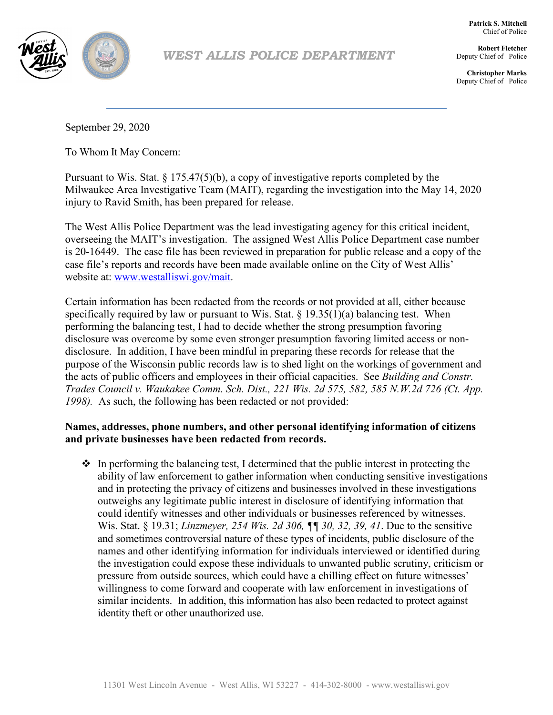

# *WEST ALLIS POLICE DEPARTMENT*

**Patrick S. Mitchell** Chief of Police

**Robert Fletcher** Deputy Chief of Police

**Christopher Marks** Deputy Chief of Police

September 29, 2020

To Whom It May Concern:

Pursuant to Wis. Stat. § 175.47(5)(b), a copy of investigative reports completed by the Milwaukee Area Investigative Team (MAIT), regarding the investigation into the May 14, 2020 injury to Ravid Smith, has been prepared for release.

The West Allis Police Department was the lead investigating agency for this critical incident, overseeing the MAIT's investigation. The assigned West Allis Police Department case number is 20-16449. The case file has been reviewed in preparation for public release and a copy of the case file's reports and records have been made available online on the City of West Allis' website at: www.westalliswi.gov/mait.

Certain information has been redacted from the records or not provided at all, either because specifically required by law or pursuant to Wis. Stat.  $\S 19.35(1)(a)$  balancing test. When performing the balancing test, I had to decide whether the strong presumption favoring disclosure was overcome by some even stronger presumption favoring limited access or nondisclosure. In addition, I have been mindful in preparing these records for release that the purpose of the Wisconsin public records law is to shed light on the workings of government and the acts of public officers and employees in their official capacities. See *Building and Constr. Trades Council v. Waukakee Comm. Sch. Dist., 221 Wis. 2d 575, 582, 585 N.W.2d 726 (Ct. App. 1998).* As such, the following has been redacted or not provided:

# **Names, addresses, phone numbers, and other personal identifying information of citizens and private businesses have been redacted from records.**

 $\bullet$  In performing the balancing test, I determined that the public interest in protecting the ability of law enforcement to gather information when conducting sensitive investigations and in protecting the privacy of citizens and businesses involved in these investigations outweighs any legitimate public interest in disclosure of identifying information that could identify witnesses and other individuals or businesses referenced by witnesses. Wis. Stat. § 19.31; *Linzmeyer, 254 Wis. 2d 306, ¶¶ 30, 32, 39, 41*. Due to the sensitive and sometimes controversial nature of these types of incidents, public disclosure of the names and other identifying information for individuals interviewed or identified during the investigation could expose these individuals to unwanted public scrutiny, criticism or pressure from outside sources, which could have a chilling effect on future witnesses' willingness to come forward and cooperate with law enforcement in investigations of similar incidents. In addition, this information has also been redacted to protect against identity theft or other unauthorized use.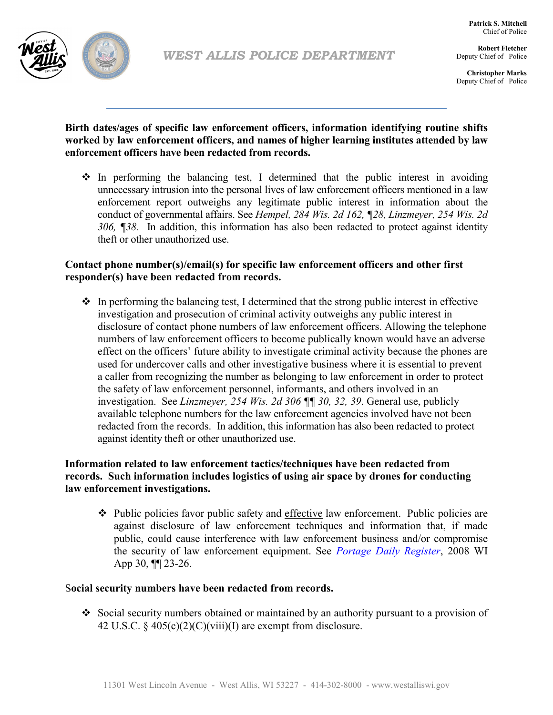

*WEST ALLIS POLICE DEPARTMENT*

**Patrick S. Mitchell** Chief of Police

**Robert Fletcher** Deputy Chief of Police

**Christopher Marks** Deputy Chief of Police

**Birth dates/ages of specific law enforcement officers, information identifying routine shifts worked by law enforcement officers, and names of higher learning institutes attended by law enforcement officers have been redacted from records.**

 $\cdot$  In performing the balancing test, I determined that the public interest in avoiding unnecessary intrusion into the personal lives of law enforcement officers mentioned in a law enforcement report outweighs any legitimate public interest in information about the conduct of governmental affairs. See *Hempel, 284 Wis. 2d 162, ¶28, Linzmeyer, 254 Wis. 2d 306, ¶38.* In addition, this information has also been redacted to protect against identity theft or other unauthorized use.

## **Contact phone number(s)/email(s) for specific law enforcement officers and other first responder(s) have been redacted from records.**

 $\cdot$  In performing the balancing test, I determined that the strong public interest in effective investigation and prosecution of criminal activity outweighs any public interest in disclosure of contact phone numbers of law enforcement officers. Allowing the telephone numbers of law enforcement officers to become publically known would have an adverse effect on the officers' future ability to investigate criminal activity because the phones are used for undercover calls and other investigative business where it is essential to prevent a caller from recognizing the number as belonging to law enforcement in order to protect the safety of law enforcement personnel, informants, and others involved in an investigation. See *Linzmeyer, 254 Wis. 2d 306 ¶¶ 30, 32, 39*. General use, publicly available telephone numbers for the law enforcement agencies involved have not been redacted from the records. In addition, this information has also been redacted to protect against identity theft or other unauthorized use.

# **Information related to law enforcement tactics/techniques have been redacted from records. Such information includes logistics of using air space by drones for conducting law enforcement investigations.**

 $\div$  Public policies favor public safety and effective law enforcement. Public policies are against disclosure of law enforcement techniques and information that, if made public, could cause interference with law enforcement business and/or compromise the security of law enforcement equipment. See *Portage Daily Register*, 2008 WI App 30, ¶¶ 23-26.

### S**ocial security numbers have been redacted from records.**

 Social security numbers obtained or maintained by an authority pursuant to a provision of 42 U.S.C. §  $405(c)(2)(C)(viii)(I)$  are exempt from disclosure.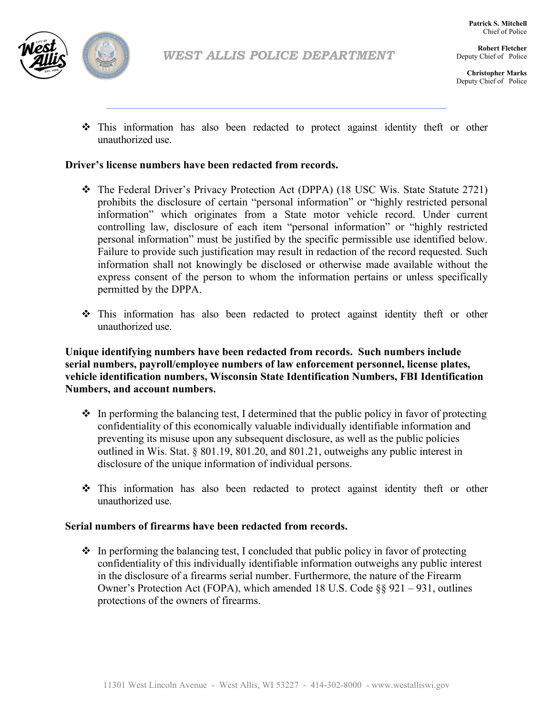

**Robert Fletcher** Deputy Chief of Police

**Christopher Marks** Deputy Chief of Police

 This information has also been redacted to protect against identity theft or other unauthorized use.

### **Driver's license numbers have been redacted from records.**

- The Federal Driver's Privacy Protection Act (DPPA) (18 USC Wis. State Statute 2721) prohibits the disclosure of certain "personal information" or "highly restricted personal information" which originates from a State motor vehicle record. Under current controlling law, disclosure of each item "personal information" or "highly restricted personal information" must be justified by the specific permissible use identified below. Failure to provide such justification may result in redaction of the record requested. Such information shall not knowingly be disclosed or otherwise made available without the express consent of the person to whom the information pertains or unless specifically permitted by the DPPA.
- This information has also been redacted to protect against identity theft or other unauthorized use.

**Unique identifying numbers have been redacted from records. Such numbers include serial numbers, payroll/employee numbers of law enforcement personnel, license plates, vehicle identification numbers, Wisconsin State Identification Numbers, FBI Identification Numbers, and account numbers.**

- $\cdot$  In performing the balancing test, I determined that the public policy in favor of protecting confidentiality of this economically valuable individually identifiable information and preventing its misuse upon any subsequent disclosure, as well as the public policies outlined in Wis. Stat. § 801.19, 801.20, and 801.21, outweighs any public interest in disclosure of the unique information of individual persons.
- This information has also been redacted to protect against identity theft or other unauthorized use.

### **Serial numbers of firearms have been redacted from records.**

 $\cdot$  In performing the balancing test, I concluded that public policy in favor of protecting confidentiality of this individually identifiable information outweighs any public interest in the disclosure of a firearms serial number. Furthermore, the nature of the Firearm Owner's Protection Act (FOPA), which amended 18 U.S. Code §§ 921 – 931, outlines protections of the owners of firearms.